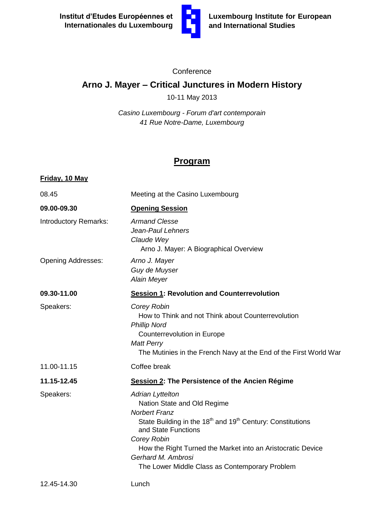

## **Conference**

## **Arno J. Mayer – Critical Junctures in Modern History**

10-11 May 2013

*Casino Luxembourg - Forum d'art contemporain 41 Rue Notre-Dame, Luxembourg*

## **Program**

| Friday, 10 May               |                                                                                                                                                                                                                                                                                                                                                   |
|------------------------------|---------------------------------------------------------------------------------------------------------------------------------------------------------------------------------------------------------------------------------------------------------------------------------------------------------------------------------------------------|
| 08.45                        | Meeting at the Casino Luxembourg                                                                                                                                                                                                                                                                                                                  |
| 09.00-09.30                  | <b>Opening Session</b>                                                                                                                                                                                                                                                                                                                            |
| <b>Introductory Remarks:</b> | <b>Armand Clesse</b><br>Jean-Paul Lehners<br>Claude Wey<br>Arno J. Mayer: A Biographical Overview                                                                                                                                                                                                                                                 |
| <b>Opening Addresses:</b>    | Arno J. Mayer<br>Guy de Muyser<br><b>Alain Meyer</b>                                                                                                                                                                                                                                                                                              |
| 09.30-11.00                  | <b>Session 1: Revolution and Counterrevolution</b>                                                                                                                                                                                                                                                                                                |
| Speakers:                    | Corey Robin<br>How to Think and not Think about Counterrevolution<br><b>Phillip Nord</b><br>Counterrevolution in Europe<br><b>Matt Perry</b><br>The Mutinies in the French Navy at the End of the First World War                                                                                                                                 |
| 11.00-11.15                  | Coffee break                                                                                                                                                                                                                                                                                                                                      |
| 11.15-12.45                  | Session 2: The Persistence of the Ancien Régime                                                                                                                                                                                                                                                                                                   |
| Speakers:                    | <b>Adrian Lyttelton</b><br>Nation State and Old Regime<br><b>Norbert Franz</b><br>State Building in the 18 <sup>th</sup> and 19 <sup>th</sup> Century: Constitutions<br>and State Functions<br>Corey Robin<br>How the Right Turned the Market into an Aristocratic Device<br>Gerhard M. Ambrosi<br>The Lower Middle Class as Contemporary Problem |
| 12.45-14.30                  | Lunch                                                                                                                                                                                                                                                                                                                                             |